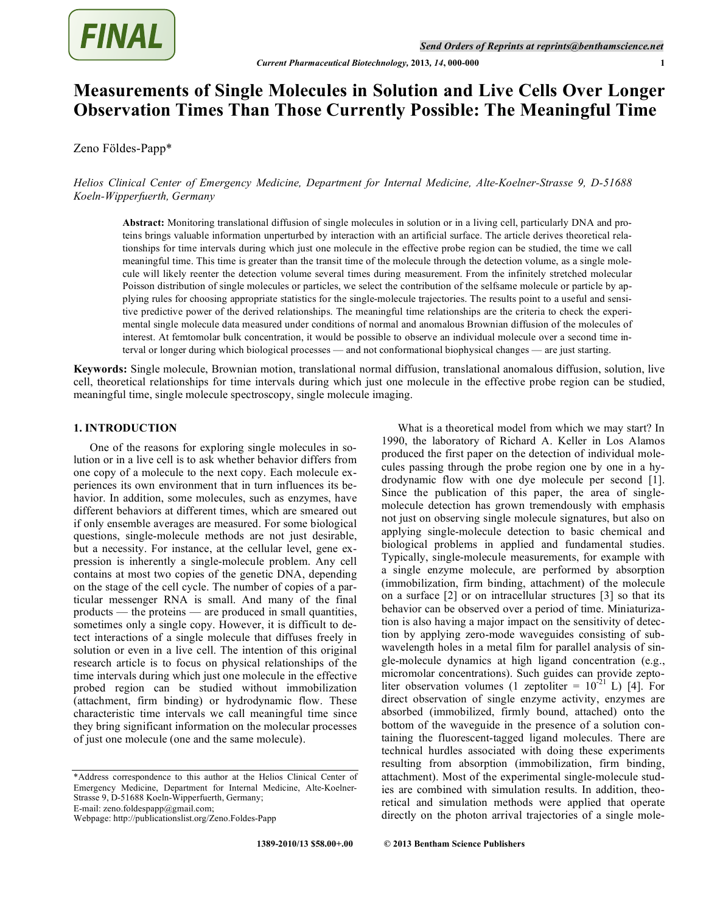

 *Current Pharmaceutical Biotechnology,* **2013***, 14***, 000-000 1** 

# **Measurements of Single Molecules in Solution and Live Cells Over Longer Observation Times Than Those Currently Possible: The Meaningful Time**

Zeno Földes-Papp\*

*Helios Clinical Center of Emergency Medicine, Department for Internal Medicine, Alte-Koelner-Strasse 9, D-51688 Koeln-Wipperfuerth, Germany* 

**Abstract:** Monitoring translational diffusion of single molecules in solution or in a living cell, particularly DNA and proteins brings valuable information unperturbed by interaction with an artificial surface. The article derives theoretical relationships for time intervals during which just one molecule in the effective probe region can be studied, the time we call meaningful time. This time is greater than the transit time of the molecule through the detection volume, as a single molecule will likely reenter the detection volume several times during measurement. From the infinitely stretched molecular Poisson distribution of single molecules or particles, we select the contribution of the selfsame molecule or particle by applying rules for choosing appropriate statistics for the single-molecule trajectories. The results point to a useful and sensitive predictive power of the derived relationships. The meaningful time relationships are the criteria to check the experimental single molecule data measured under conditions of normal and anomalous Brownian diffusion of the molecules of interest. At femtomolar bulk concentration, it would be possible to observe an individual molecule over a second time interval or longer during which biological processes — and not conformational biophysical changes — are just starting.

**Keywords:** Single molecule, Brownian motion, translational normal diffusion, translational anomalous diffusion, solution, live cell, theoretical relationships for time intervals during which just one molecule in the effective probe region can be studied, meaningful time, single molecule spectroscopy, single molecule imaging.

# **1. INTRODUCTION**

 One of the reasons for exploring single molecules in solution or in a live cell is to ask whether behavior differs from one copy of a molecule to the next copy. Each molecule experiences its own environment that in turn influences its behavior. In addition, some molecules, such as enzymes, have different behaviors at different times, which are smeared out if only ensemble averages are measured. For some biological questions, single-molecule methods are not just desirable, but a necessity. For instance, at the cellular level, gene expression is inherently a single-molecule problem. Any cell contains at most two copies of the genetic DNA, depending on the stage of the cell cycle. The number of copies of a particular messenger RNA is small. And many of the final products — the proteins — are produced in small quantities, sometimes only a single copy. However, it is difficult to detect interactions of a single molecule that diffuses freely in solution or even in a live cell. The intention of this original research article is to focus on physical relationships of the time intervals during which just one molecule in the effective probed region can be studied without immobilization (attachment, firm binding) or hydrodynamic flow. These characteristic time intervals we call meaningful time since they bring significant information on the molecular processes of just one molecule (one and the same molecule).

\*Address correspondence to this author at the Helios Clinical Center of Emergency Medicine, Department for Internal Medicine, Alte-Koelner-Strasse 9, D-51688 Koeln-Wipperfuerth, Germany; E-mail: zeno.foldespapp@gmail.com;

Webpage: http://publicationslist.org/Zeno.Foldes-Papp

 What is a theoretical model from which we may start? In 1990, the laboratory of Richard A. Keller in Los Alamos produced the first paper on the detection of individual molecules passing through the probe region one by one in a hydrodynamic flow with one dye molecule per second [1]. Since the publication of this paper, the area of singlemolecule detection has grown tremendously with emphasis not just on observing single molecule signatures, but also on applying single-molecule detection to basic chemical and biological problems in applied and fundamental studies. Typically, single-molecule measurements, for example with a single enzyme molecule, are performed by absorption (immobilization, firm binding, attachment) of the molecule on a surface [2] or on intracellular structures [3] so that its behavior can be observed over a period of time. Miniaturization is also having a major impact on the sensitivity of detection by applying zero-mode waveguides consisting of subwavelength holes in a metal film for parallel analysis of single-molecule dynamics at high ligand concentration (e.g., micromolar concentrations). Such guides can provide zeptoliter observation volumes (1 zeptoliter =  $10^{-21}$  L) [4]. For direct observation of single enzyme activity, enzymes are absorbed (immobilized, firmly bound, attached) onto the bottom of the waveguide in the presence of a solution containing the fluorescent-tagged ligand molecules. There are technical hurdles associated with doing these experiments resulting from absorption (immobilization, firm binding, attachment). Most of the experimental single-molecule studies are combined with simulation results. In addition, theoretical and simulation methods were applied that operate directly on the photon arrival trajectories of a single mole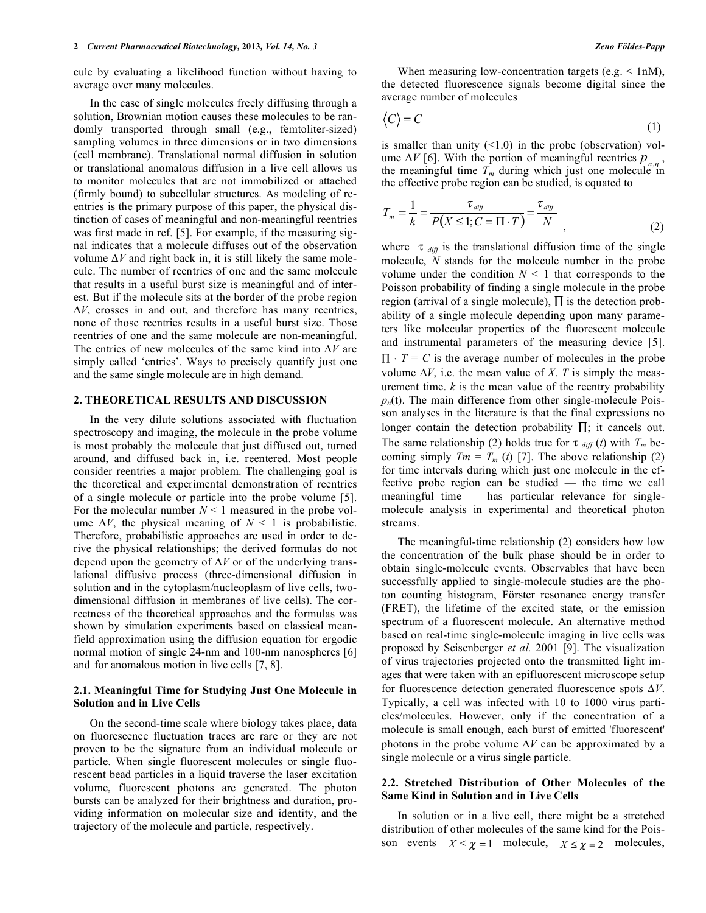cule by evaluating a likelihood function without having to average over many molecules.

 In the case of single molecules freely diffusing through a solution, Brownian motion causes these molecules to be randomly transported through small (e.g., femtoliter-sized) sampling volumes in three dimensions or in two dimensions (cell membrane). Translational normal diffusion in solution or translational anomalous diffusion in a live cell allows us to monitor molecules that are not immobilized or attached (firmly bound) to subcellular structures. As modeling of reentries is the primary purpose of this paper, the physical distinction of cases of meaningful and non-meaningful reentries was first made in ref. [5]. For example, if the measuring signal indicates that a molecule diffuses out of the observation volume  $\Delta V$  and right back in, it is still likely the same molecule. The number of reentries of one and the same molecule that results in a useful burst size is meaningful and of interest. But if the molecule sits at the border of the probe region  $\Delta V$ , crosses in and out, and therefore has many reentries, none of those reentries results in a useful burst size. Those reentries of one and the same molecule are non-meaningful. The entries of new molecules of the same kind into  $\Delta V$  are simply called 'entries'. Ways to precisely quantify just one and the same single molecule are in high demand.

## **2. THEORETICAL RESULTS AND DISCUSSION**

 In the very dilute solutions associated with fluctuation spectroscopy and imaging, the molecule in the probe volume is most probably the molecule that just diffused out, turned around, and diffused back in, i.e. reentered. Most people consider reentries a major problem. The challenging goal is the theoretical and experimental demonstration of reentries of a single molecule or particle into the probe volume [5]. For the molecular number  $N < 1$  measured in the probe volume  $\Delta V$ , the physical meaning of  $N < 1$  is probabilistic. Therefore, probabilistic approaches are used in order to derive the physical relationships; the derived formulas do not depend upon the geometry of  $\Delta V$  or of the underlying translational diffusive process (three-dimensional diffusion in solution and in the cytoplasm/nucleoplasm of live cells, twodimensional diffusion in membranes of live cells). The correctness of the theoretical approaches and the formulas was shown by simulation experiments based on classical meanfield approximation using the diffusion equation for ergodic normal motion of single 24-nm and 100-nm nanospheres [6] and for anomalous motion in live cells [7, 8].

## **2.1. Meaningful Time for Studying Just One Molecule in Solution and in Live Cells**

 On the second-time scale where biology takes place, data on fluorescence fluctuation traces are rare or they are not proven to be the signature from an individual molecule or particle. When single fluorescent molecules or single fluorescent bead particles in a liquid traverse the laser excitation volume, fluorescent photons are generated. The photon bursts can be analyzed for their brightness and duration, providing information on molecular size and identity, and the trajectory of the molecule and particle, respectively.

When measuring low-concentration targets (e.g.  $\leq 1 \text{nM}$ ), the detected fluorescence signals become digital since the average number of molecules

$$
\langle C \rangle = C \tag{1}
$$

is smaller than unity  $(1.0)$  in the probe (observation) volume  $\Delta V$  [6]. With the portion of meaningful reentries  $p_{\overline{u}}$ , the meaningful time  $T_m$  during which just one molecule in the effective probe region can be studied, is equated to

$$
T_m = \frac{1}{k} = \frac{\tau_{\text{diff}}}{P(X \le 1; C = \Pi \cdot T)} = \frac{\tau_{\text{diff}}}{N}
$$
\n(2)

where  $\tau_{diff}$  is the translational diffusion time of the single molecule, *N* stands for the molecule number in the probe volume under the condition  $N \leq 1$  that corresponds to the Poisson probability of finding a single molecule in the probe region (arrival of a single molecule),  $\Pi$  is the detection probability of a single molecule depending upon many parameters like molecular properties of the fluorescent molecule and instrumental parameters of the measuring device [5].  $\Pi \cdot T = C$  is the average number of molecules in the probe volume  $\Delta V$ , i.e. the mean value of *X*. *T* is simply the measurement time.  $k$  is the mean value of the reentry probability  $p_n(t)$ . The main difference from other single-molecule Poisson analyses in the literature is that the final expressions no longer contain the detection probability  $\Pi$ ; it cancels out. The same relationship (2) holds true for  $\tau_{diff}(t)$  with  $T_m$  becoming simply  $Tm = T_m(t)$  [7]. The above relationship (2) for time intervals during which just one molecule in the effective probe region can be studied — the time we call meaningful time — has particular relevance for singlemolecule analysis in experimental and theoretical photon streams.

 The meaningful-time relationship (2) considers how low the concentration of the bulk phase should be in order to obtain single-molecule events. Observables that have been successfully applied to single-molecule studies are the photon counting histogram, Förster resonance energy transfer (FRET), the lifetime of the excited state, or the emission spectrum of a fluorescent molecule. An alternative method based on real-time single-molecule imaging in live cells was proposed by Seisenberger *et al.* 2001 [9]. The visualization of virus trajectories projected onto the transmitted light images that were taken with an epifluorescent microscope setup for fluorescence detection generated fluorescence spots  $\Delta V$ . Typically, a cell was infected with 10 to 1000 virus particles/molecules. However, only if the concentration of a molecule is small enough, each burst of emitted 'fluorescent' photons in the probe volume  $\Delta V$  can be approximated by a single molecule or a virus single particle.

## **2.2. Stretched Distribution of Other Molecules of the Same Kind in Solution and in Live Cells**

 In solution or in a live cell, there might be a stretched distribution of other molecules of the same kind for the Poisson events  $X \le \chi = 1$  molecule,  $X \le \chi = 2$  molecules,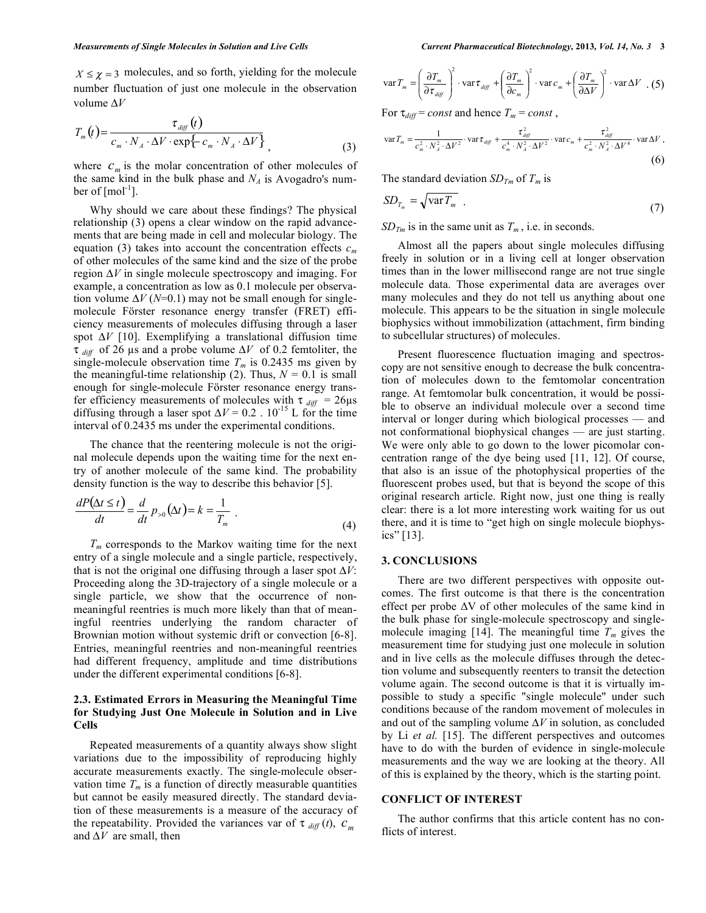$X \leq \chi = 3$  molecules, and so forth, yielding for the molecule number fluctuation of just one molecule in the observation volume  $\Delta V$ 

$$
T_m(t) = \frac{\tau_{\text{diff}}(t)}{c_m \cdot N_A \cdot \Delta V \cdot \exp\{-c_m \cdot N_A \cdot \Delta V\}}
$$
\n(3)

where  $c_m$  is the molar concentration of other molecules of the same kind in the bulk phase and  $N_A$  is Avogadro's number of  $\lceil \text{mol}^{-1} \rceil$ .

 Why should we care about these findings? The physical relationship (3) opens a clear window on the rapid advancements that are being made in cell and molecular biology. The equation (3) takes into account the concentration effects  $c_m$ of other molecules of the same kind and the size of the probe region  $\Delta V$  in single molecule spectroscopy and imaging. For example, a concentration as low as 0.1 molecule per observation volume  $\Delta V$  (*N*=0.1) may not be small enough for singlemolecule Förster resonance energy transfer (FRET) efficiency measurements of molecules diffusing through a laser spot  $\Delta V$  [10]. Exemplifying a translational diffusion time  $\tau_{diff}$  of 26 µs and a probe volume  $\Delta V$  of 0.2 femtoliter, the single-molecule observation time  $T_m$  is 0.2435 ms given by the meaningful-time relationship (2). Thus,  $N = 0.1$  is small enough for single-molecule Förster resonance energy transfer efficiency measurements of molecules with  $\tau_{diff} = 26 \mu s$ diffusing through a laser spot  $\Delta V = 0.2$ . 10<sup>-15</sup> L for the time interval of 0.2435 ms under the experimental conditions.

 The chance that the reentering molecule is not the original molecule depends upon the waiting time for the next entry of another molecule of the same kind. The probability density function is the way to describe this behavior [5].

$$
\frac{dP(\Delta t \le t)}{dt} = \frac{d}{dt} p_{>0} (\Delta t) = k = \frac{1}{T_m} \tag{4}
$$

 $T_m$  corresponds to the Markov waiting time for the next entry of a single molecule and a single particle, respectively, that is not the original one diffusing through a laser spot  $\Delta V$ : Proceeding along the 3D-trajectory of a single molecule or a single particle, we show that the occurrence of nonmeaningful reentries is much more likely than that of meaningful reentries underlying the random character of Brownian motion without systemic drift or convection [6-8]. Entries, meaningful reentries and non-meaningful reentries had different frequency, amplitude and time distributions under the different experimental conditions [6-8].

### **2.3. Estimated Errors in Measuring the Meaningful Time for Studying Just One Molecule in Solution and in Live Cells**

 Repeated measurements of a quantity always show slight variations due to the impossibility of reproducing highly accurate measurements exactly. The single-molecule observation time  $T_m$  is a function of directly measurable quantities but cannot be easily measured directly. The standard deviation of these measurements is a measure of the accuracy of the repeatability. Provided the variances var of  $\tau_{diff}(t)$ ,  $c_m$ and  $\Delta V$  are small, then

$$
\operatorname{var} T_m = \left(\frac{\partial T_m}{\partial \tau_{\text{diff}}}\right)^2 \cdot \operatorname{var} \tau_{\text{diff}} + \left(\frac{\partial T_m}{\partial c_m}\right)^2 \cdot \operatorname{var} c_m + \left(\frac{\partial T_m}{\partial \Delta V}\right)^2 \cdot \operatorname{var} \Delta V \quad . \tag{5}
$$

For  $\tau_{diff} = const$  and hence  $T_m = const$ ,

$$
\operatorname{var} T_m = \frac{1}{c_m^2 \cdot N_A^2 \cdot \Delta V^2} \cdot \operatorname{var} \tau_{\text{diff}} + \frac{\tau_{\text{diff}}^2}{c_m^4 \cdot N_A^2 \cdot \Delta V^2} \cdot \operatorname{var} c_m + \frac{\tau_{\text{diff}}^2}{c_m^2 \cdot N_A^2 \cdot \Delta V^4} \cdot \operatorname{var} \Delta V \tag{6}
$$

The standard deviation  $SD_{Tm}$  of  $T_m$  is

$$
SD_{T_m} = \sqrt{\text{var } T_m} \quad . \tag{7}
$$

 $SD<sub>Tm</sub>$  is in the same unit as  $T<sub>m</sub>$ , i.e. in seconds.

 Almost all the papers about single molecules diffusing freely in solution or in a living cell at longer observation times than in the lower millisecond range are not true single molecule data. Those experimental data are averages over many molecules and they do not tell us anything about one molecule. This appears to be the situation in single molecule biophysics without immobilization (attachment, firm binding to subcellular structures) of molecules.

 Present fluorescence fluctuation imaging and spectroscopy are not sensitive enough to decrease the bulk concentration of molecules down to the femtomolar concentration range. At femtomolar bulk concentration, it would be possible to observe an individual molecule over a second time interval or longer during which biological processes — and not conformational biophysical changes — are just starting. We were only able to go down to the lower picomolar concentration range of the dye being used [11, 12]. Of course, that also is an issue of the photophysical properties of the fluorescent probes used, but that is beyond the scope of this original research article. Right now, just one thing is really clear: there is a lot more interesting work waiting for us out there, and it is time to "get high on single molecule biophysics" [13].

#### **3. CONCLUSIONS**

 There are two different perspectives with opposite outcomes. The first outcome is that there is the concentration effect per probe  $\Delta V$  of other molecules of the same kind in the bulk phase for single-molecule spectroscopy and singlemolecule imaging [14]. The meaningful time  $T_m$  gives the measurement time for studying just one molecule in solution and in live cells as the molecule diffuses through the detection volume and subsequently reenters to transit the detection volume again. The second outcome is that it is virtually impossible to study a specific "single molecule" under such conditions because of the random movement of molecules in and out of the sampling volume  $\Delta V$  in solution, as concluded by Li *et al.* [15]. The different perspectives and outcomes have to do with the burden of evidence in single-molecule measurements and the way we are looking at the theory. All of this is explained by the theory, which is the starting point.

#### **CONFLICT OF INTEREST**

 The author confirms that this article content has no conflicts of interest.